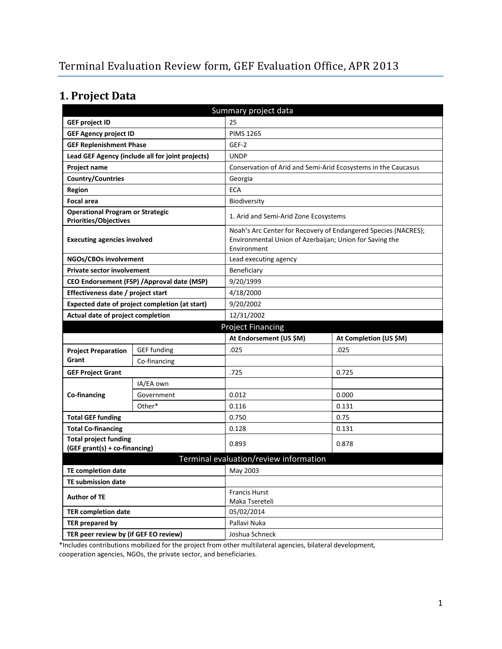# **1. Project Data**

| Summary project data                                                    |                                                  |                                                                                                                                          |                        |  |
|-------------------------------------------------------------------------|--------------------------------------------------|------------------------------------------------------------------------------------------------------------------------------------------|------------------------|--|
| <b>GEF project ID</b>                                                   |                                                  | 25                                                                                                                                       |                        |  |
| <b>GEF Agency project ID</b>                                            |                                                  | <b>PIMS 1265</b>                                                                                                                         |                        |  |
| <b>GEF Replenishment Phase</b>                                          |                                                  | GEF-2                                                                                                                                    |                        |  |
|                                                                         | Lead GEF Agency (include all for joint projects) | <b>UNDP</b>                                                                                                                              |                        |  |
| <b>Project name</b>                                                     |                                                  | Conservation of Arid and Semi-Arid Ecosystems in the Caucasus                                                                            |                        |  |
| <b>Country/Countries</b>                                                |                                                  | Georgia                                                                                                                                  |                        |  |
| <b>Region</b>                                                           |                                                  | <b>ECA</b>                                                                                                                               |                        |  |
| <b>Focal area</b>                                                       |                                                  | Biodiversity                                                                                                                             |                        |  |
| <b>Operational Program or Strategic</b><br><b>Priorities/Objectives</b> |                                                  | 1. Arid and Semi-Arid Zone Ecosystems                                                                                                    |                        |  |
| <b>Executing agencies involved</b>                                      |                                                  | Noah's Arc Center for Recovery of Endangered Species (NACRES);<br>Environmental Union of Azerbaijan; Union for Saving the<br>Environment |                        |  |
| NGOs/CBOs involvement                                                   |                                                  | Lead executing agency                                                                                                                    |                        |  |
| <b>Private sector involvement</b>                                       |                                                  | Beneficiary                                                                                                                              |                        |  |
|                                                                         | CEO Endorsement (FSP) / Approval date (MSP)      | 9/20/1999                                                                                                                                |                        |  |
| Effectiveness date / project start                                      |                                                  | 4/18/2000                                                                                                                                |                        |  |
|                                                                         | Expected date of project completion (at start)   | 9/20/2002                                                                                                                                |                        |  |
| Actual date of project completion                                       |                                                  | 12/31/2002                                                                                                                               |                        |  |
|                                                                         |                                                  |                                                                                                                                          |                        |  |
|                                                                         |                                                  | <b>Project Financing</b>                                                                                                                 |                        |  |
|                                                                         |                                                  | At Endorsement (US \$M)                                                                                                                  | At Completion (US \$M) |  |
| <b>Project Preparation</b>                                              | <b>GEF</b> funding                               | .025                                                                                                                                     | .025                   |  |
| Grant                                                                   | Co-financing                                     |                                                                                                                                          |                        |  |
| <b>GEF Project Grant</b>                                                |                                                  | .725                                                                                                                                     | 0.725                  |  |
|                                                                         | IA/EA own                                        |                                                                                                                                          |                        |  |
| Co-financing                                                            | Government                                       | 0.012                                                                                                                                    | 0.000                  |  |
|                                                                         | Other*                                           | 0.116                                                                                                                                    | 0.131                  |  |
| <b>Total GEF funding</b>                                                |                                                  | 0.750                                                                                                                                    | 0.75                   |  |
| <b>Total Co-financing</b>                                               |                                                  | 0.128                                                                                                                                    | 0.131                  |  |
| <b>Total project funding</b><br>(GEF grant(s) + co-financing)           |                                                  | 0.893                                                                                                                                    | 0.878                  |  |
|                                                                         |                                                  | Terminal evaluation/review information                                                                                                   |                        |  |
| <b>TE completion date</b>                                               |                                                  | May 2003                                                                                                                                 |                        |  |
| <b>TE submission date</b>                                               |                                                  |                                                                                                                                          |                        |  |
| <b>Author of TE</b>                                                     |                                                  | <b>Francis Hurst</b><br>Maka Tsereteli                                                                                                   |                        |  |
| <b>TER completion date</b>                                              |                                                  | 05/02/2014                                                                                                                               |                        |  |
| TER prepared by                                                         |                                                  | Pallavi Nuka                                                                                                                             |                        |  |

\*Includes contributions mobilized for the project from other multilateral agencies, bilateral development,

cooperation agencies, NGOs, the private sector, and beneficiaries.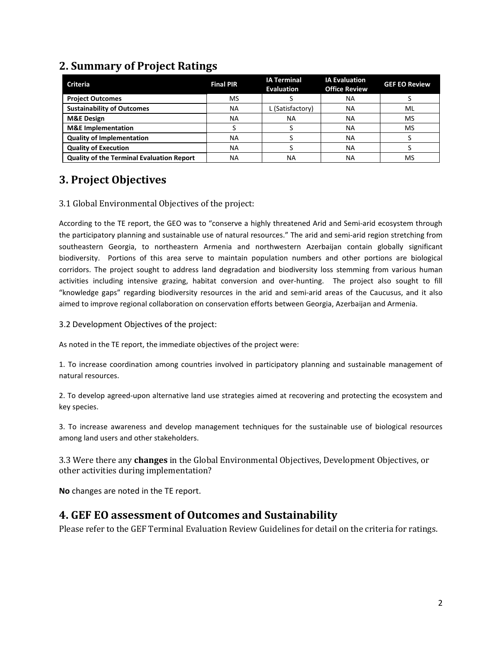## **2. Summary of Project Ratings**

| <b>Criteria</b>                                  | <b>Final PIR</b> | <b>IA Terminal</b><br><b>Evaluation</b> | <b>IA Evaluation</b><br><b>Office Review</b> | <b>GEF EO Review</b> |
|--------------------------------------------------|------------------|-----------------------------------------|----------------------------------------------|----------------------|
| <b>Project Outcomes</b>                          | MS               |                                         | ΝA                                           |                      |
| <b>Sustainability of Outcomes</b>                | <b>NA</b>        | L (Satisfactory)                        | ΝA                                           | ML                   |
| <b>M&amp;E Design</b>                            | NA               | ΝA                                      | <b>NA</b>                                    | MS                   |
| <b>M&amp;E</b> Implementation                    |                  |                                         | <b>NA</b>                                    | MS                   |
| <b>Quality of Implementation</b>                 | ΝA               |                                         | <b>NA</b>                                    |                      |
| <b>Quality of Execution</b>                      | <b>NA</b>        |                                         | <b>NA</b>                                    |                      |
| <b>Quality of the Terminal Evaluation Report</b> | ΝA               | ΝA                                      | ΝA                                           | <b>MS</b>            |

# **3. Project Objectives**

#### 3.1 Global Environmental Objectives of the project:

According to the TE report, the GEO was to "conserve a highly threatened Arid and Semi-arid ecosystem through the participatory planning and sustainable use of natural resources." The arid and semi-arid region stretching from southeastern Georgia, to northeastern Armenia and northwestern Azerbaijan contain globally significant biodiversity. Portions of this area serve to maintain population numbers and other portions are biological corridors. The project sought to address land degradation and biodiversity loss stemming from various human activities including intensive grazing, habitat conversion and over-hunting. The project also sought to fill "knowledge gaps" regarding biodiversity resources in the arid and semi-arid areas of the Caucusus, and it also aimed to improve regional collaboration on conservation efforts between Georgia, Azerbaijan and Armenia.

3.2 Development Objectives of the project:

As noted in the TE report, the immediate objectives of the project were:

1. To increase coordination among countries involved in participatory planning and sustainable management of natural resources.

2. To develop agreed-upon alternative land use strategies aimed at recovering and protecting the ecosystem and key species.

3. To increase awareness and develop management techniques for the sustainable use of biological resources among land users and other stakeholders.

3.3 Were there any **changes** in the Global Environmental Objectives, Development Objectives, or other activities during implementation?

**No** changes are noted in the TE report.

## **4. GEF EO assessment of Outcomes and Sustainability**

Please refer to the GEF Terminal Evaluation Review Guidelines for detail on the criteria for ratings.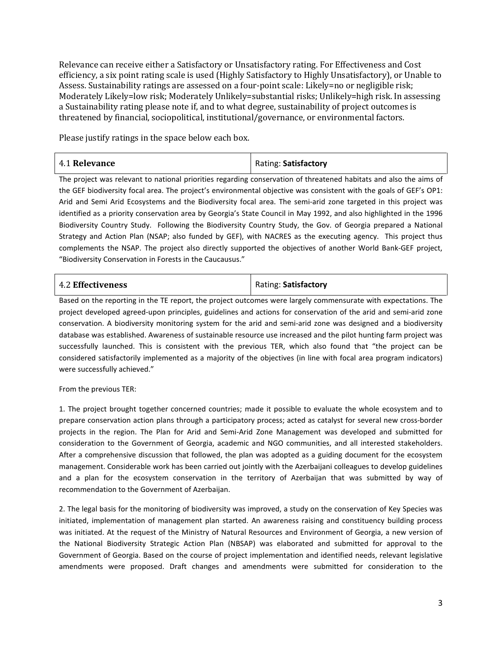Relevance can receive either a Satisfactory or Unsatisfactory rating. For Effectiveness and Cost efficiency, a six point rating scale is used (Highly Satisfactory to Highly Unsatisfactory), or Unable to Assess. Sustainability ratings are assessed on a four-point scale: Likely=no or negligible risk; Moderately Likely=low risk; Moderately Unlikely=substantial risks; Unlikely=high risk. In assessing a Sustainability rating please note if, and to what degree, sustainability of project outcomes is threatened by financial, sociopolitical, institutional/governance, or environmental factors.

Please justify ratings in the space below each box.

| 4.1 Relevance | Rating: Satisfactory |
|---------------|----------------------|
|               |                      |

The project was relevant to national priorities regarding conservation of threatened habitats and also the aims of the GEF biodiversity focal area. The project's environmental objective was consistent with the goals of GEF's OP1: Arid and Semi Arid Ecosystems and the Biodiversity focal area. The semi-arid zone targeted in this project was identified as a priority conservation area by Georgia's State Council in May 1992, and also highlighted in the 1996 Biodiversity Country Study. Following the Biodiversity Country Study, the Gov. of Georgia prepared a National Strategy and Action Plan (NSAP; also funded by GEF), with NACRES as the executing agency. This project thus complements the NSAP. The project also directly supported the objectives of another World Bank-GEF project, "Biodiversity Conservation in Forests in the Caucausus."

| <b>4.2 Effectiveness</b> | Rating: Satisfactory |
|--------------------------|----------------------|
|                          |                      |

Based on the reporting in the TE report, the project outcomes were largely commensurate with expectations. The project developed agreed-upon principles, guidelines and actions for conservation of the arid and semi-arid zone conservation. A biodiversity monitoring system for the arid and semi-arid zone was designed and a biodiversity database was established. Awareness of sustainable resource use increased and the pilot hunting farm project was successfully launched. This is consistent with the previous TER, which also found that "the project can be considered satisfactorily implemented as a majority of the objectives (in line with focal area program indicators) were successfully achieved."

From the previous TER:

1. The project brought together concerned countries; made it possible to evaluate the whole ecosystem and to prepare conservation action plans through a participatory process; acted as catalyst for several new cross-border projects in the region. The Plan for Arid and Semi-Arid Zone Management was developed and submitted for consideration to the Government of Georgia, academic and NGO communities, and all interested stakeholders. After a comprehensive discussion that followed, the plan was adopted as a guiding document for the ecosystem management. Considerable work has been carried out jointly with the Azerbaijani colleagues to develop guidelines and a plan for the ecosystem conservation in the territory of Azerbaijan that was submitted by way of recommendation to the Government of Azerbaijan.

2. The legal basis for the monitoring of biodiversity was improved, a study on the conservation of Key Species was initiated, implementation of management plan started. An awareness raising and constituency building process was initiated. At the request of the Ministry of Natural Resources and Environment of Georgia, a new version of the National Biodiversity Strategic Action Plan (NBSAP) was elaborated and submitted for approval to the Government of Georgia. Based on the course of project implementation and identified needs, relevant legislative amendments were proposed. Draft changes and amendments were submitted for consideration to the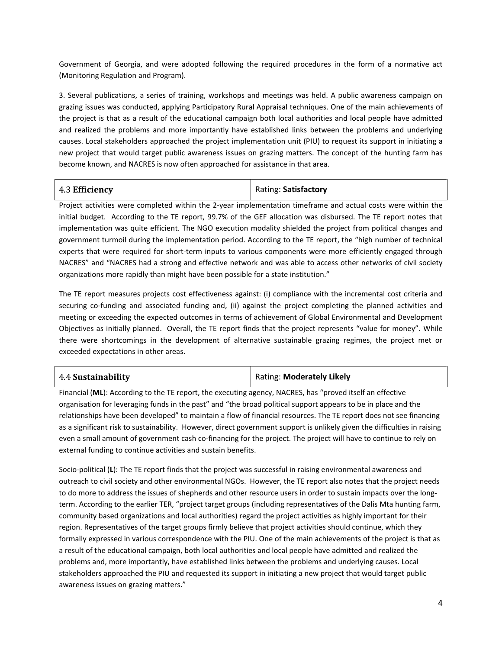Government of Georgia, and were adopted following the required procedures in the form of a normative act (Monitoring Regulation and Program).

3. Several publications, a series of training, workshops and meetings was held. A public awareness campaign on grazing issues was conducted, applying Participatory Rural Appraisal techniques. One of the main achievements of the project is that as a result of the educational campaign both local authorities and local people have admitted and realized the problems and more importantly have established links between the problems and underlying causes. Local stakeholders approached the project implementation unit (PIU) to request its support in initiating a new project that would target public awareness issues on grazing matters. The concept of the hunting farm has become known, and NACRES is now often approached for assistance in that area.

| <b>Rating: Satisfactory</b><br>4.3 Efficiency |
|-----------------------------------------------|
|-----------------------------------------------|

Project activities were completed within the 2-year implementation timeframe and actual costs were within the initial budget. According to the TE report, 99.7% of the GEF allocation was disbursed. The TE report notes that implementation was quite efficient. The NGO execution modality shielded the project from political changes and government turmoil during the implementation period. According to the TE report, the "high number of technical experts that were required for short-term inputs to various components were more efficiently engaged through NACRES" and "NACRES had a strong and effective network and was able to access other networks of civil society organizations more rapidly than might have been possible for a state institution."

The TE report measures projects cost effectiveness against: (i) compliance with the incremental cost criteria and securing co-funding and associated funding and, (ii) against the project completing the planned activities and meeting or exceeding the expected outcomes in terms of achievement of Global Environmental and Development Objectives as initially planned. Overall, the TE report finds that the project represents "value for money". While there were shortcomings in the development of alternative sustainable grazing regimes, the project met or exceeded expectations in other areas.

| 4.4 Sustainability | Rating: Moderately Likely |
|--------------------|---------------------------|
|                    |                           |

Financial (**ML**): According to the TE report, the executing agency, NACRES, has "proved itself an effective organisation for leveraging funds in the past" and "the broad political support appears to be in place and the relationships have been developed" to maintain a flow of financial resources. The TE report does not see financing as a significant risk to sustainability. However, direct government support is unlikely given the difficulties in raising even a small amount of government cash co-financing for the project. The project will have to continue to rely on external funding to continue activities and sustain benefits.

Socio-political (**L**): The TE report finds that the project was successful in raising environmental awareness and outreach to civil society and other environmental NGOs. However, the TE report also notes that the project needs to do more to address the issues of shepherds and other resource users in order to sustain impacts over the longterm. According to the earlier TER, "project target groups (including representatives of the Dalis Mta hunting farm, community based organizations and local authorities) regard the project activities as highly important for their region. Representatives of the target groups firmly believe that project activities should continue, which they formally expressed in various correspondence with the PIU. One of the main achievements of the project is that as a result of the educational campaign, both local authorities and local people have admitted and realized the problems and, more importantly, have established links between the problems and underlying causes. Local stakeholders approached the PIU and requested its support in initiating a new project that would target public awareness issues on grazing matters."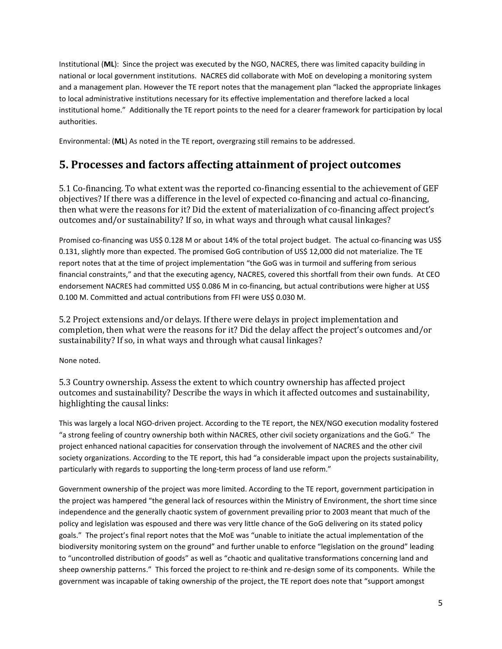Institutional (**ML**): Since the project was executed by the NGO, NACRES, there was limited capacity building in national or local government institutions. NACRES did collaborate with MoE on developing a monitoring system and a management plan. However the TE report notes that the management plan "lacked the appropriate linkages to local administrative institutions necessary for its effective implementation and therefore lacked a local institutional home." Additionally the TE report points to the need for a clearer framework for participation by local authorities.

Environmental: (**ML**) As noted in the TE report, overgrazing still remains to be addressed.

## **5. Processes and factors affecting attainment of project outcomes**

5.1 Co-financing. To what extent was the reported co-financing essential to the achievement of GEF objectives? If there was a difference in the level of expected co-financing and actual co-financing, then what were the reasons for it? Did the extent of materialization of co-financing affect project's outcomes and/or sustainability? If so, in what ways and through what causal linkages?

Promised co-financing was US\$ 0.128 M or about 14% of the total project budget. The actual co-financing was US\$ 0.131, slightly more than expected. The promised GoG contribution of US\$ 12,000 did not materialize. The TE report notes that at the time of project implementation "the GoG was in turmoil and suffering from serious financial constraints," and that the executing agency, NACRES, covered this shortfall from their own funds. At CEO endorsement NACRES had committed US\$ 0.086 M in co-financing, but actual contributions were higher at US\$ 0.100 M. Committed and actual contributions from FFI were US\$ 0.030 M.

5.2 Project extensions and/or delays. If there were delays in project implementation and completion, then what were the reasons for it? Did the delay affect the project's outcomes and/or sustainability? If so, in what ways and through what causal linkages?

None noted.

5.3 Country ownership. Assess the extent to which country ownership has affected project outcomes and sustainability? Describe the ways in which it affected outcomes and sustainability, highlighting the causal links:

This was largely a local NGO-driven project. According to the TE report, the NEX/NGO execution modality fostered "a strong feeling of country ownership both within NACRES, other civil society organizations and the GoG." The project enhanced national capacities for conservation through the involvement of NACRES and the other civil society organizations. According to the TE report, this had "a considerable impact upon the projects sustainability, particularly with regards to supporting the long-term process of land use reform."

Government ownership of the project was more limited. According to the TE report, government participation in the project was hampered "the general lack of resources within the Ministry of Environment, the short time since independence and the generally chaotic system of government prevailing prior to 2003 meant that much of the policy and legislation was espoused and there was very little chance of the GoG delivering on its stated policy goals." The project's final report notes that the MoE was "unable to initiate the actual implementation of the biodiversity monitoring system on the ground" and further unable to enforce "legislation on the ground" leading to "uncontrolled distribution of goods" as well as "chaotic and qualitative transformations concerning land and sheep ownership patterns." This forced the project to re-think and re-design some of its components. While the government was incapable of taking ownership of the project, the TE report does note that "support amongst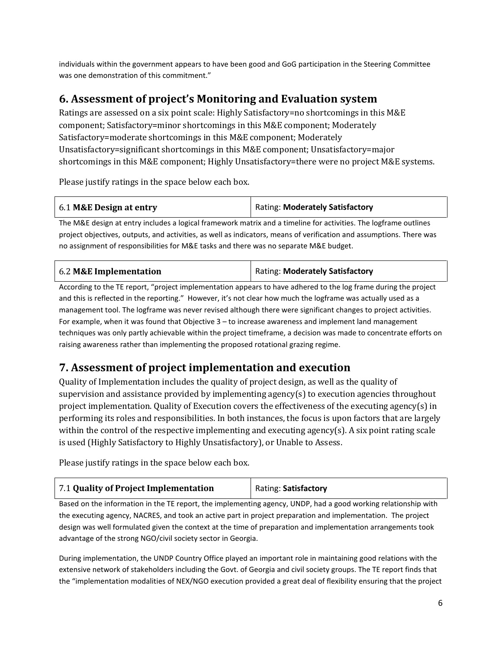individuals within the government appears to have been good and GoG participation in the Steering Committee was one demonstration of this commitment."

# **6. Assessment of project's Monitoring and Evaluation system**

Ratings are assessed on a six point scale: Highly Satisfactory=no shortcomings in this M&E component; Satisfactory=minor shortcomings in this M&E component; Moderately Satisfactory=moderate shortcomings in this M&E component; Moderately Unsatisfactory=significant shortcomings in this M&E component; Unsatisfactory=major shortcomings in this M&E component; Highly Unsatisfactory=there were no project M&E systems.

Please justify ratings in the space below each box.

| 6.1 M&E Design at entry                                                                                                                                                                                                        | <b>Rating: Moderately Satisfactory</b> |
|--------------------------------------------------------------------------------------------------------------------------------------------------------------------------------------------------------------------------------|----------------------------------------|
| the contract the contract of the contract of the contract of the contract of the contract of the contract of the contract of the contract of the contract of the contract of the contract of the contract of the contract of t |                                        |

The M&E design at entry includes a logical framework matrix and a timeline for activities. The logframe outlines project objectives, outputs, and activities, as well as indicators, means of verification and assumptions. There was no assignment of responsibilities for M&E tasks and there was no separate M&E budget.

| 6.2 M&E Implementation | Rating: Moderately Satisfactory |
|------------------------|---------------------------------|
|                        |                                 |

According to the TE report, "project implementation appears to have adhered to the log frame during the project and this is reflected in the reporting." However, it's not clear how much the logframe was actually used as a management tool. The logframe was never revised although there were significant changes to project activities. For example, when it was found that Objective 3 – to increase awareness and implement land management techniques was only partly achievable within the project timeframe, a decision was made to concentrate efforts on raising awareness rather than implementing the proposed rotational grazing regime.

# **7. Assessment of project implementation and execution**

Quality of Implementation includes the quality of project design, as well as the quality of supervision and assistance provided by implementing agency(s) to execution agencies throughout project implementation. Quality of Execution covers the effectiveness of the executing agency(s) in performing its roles and responsibilities. In both instances, the focus is upon factors that are largely within the control of the respective implementing and executing agency(s). A six point rating scale is used (Highly Satisfactory to Highly Unsatisfactory), or Unable to Assess.

Please justify ratings in the space below each box.

| 7.1 Quality of Project Implementation | Rating: Satisfactory |
|---------------------------------------|----------------------|
|---------------------------------------|----------------------|

Based on the information in the TE report, the implementing agency, UNDP, had a good working relationship with the executing agency, NACRES, and took an active part in project preparation and implementation. The project design was well formulated given the context at the time of preparation and implementation arrangements took advantage of the strong NGO/civil society sector in Georgia.

During implementation, the UNDP Country Office played an important role in maintaining good relations with the extensive network of stakeholders including the Govt. of Georgia and civil society groups. The TE report finds that the "implementation modalities of NEX/NGO execution provided a great deal of flexibility ensuring that the project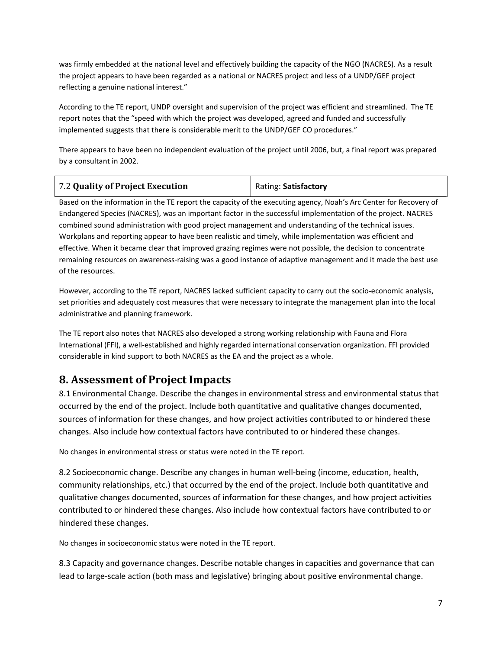was firmly embedded at the national level and effectively building the capacity of the NGO (NACRES). As a result the project appears to have been regarded as a national or NACRES project and less of a UNDP/GEF project reflecting a genuine national interest."

According to the TE report, UNDP oversight and supervision of the project was efficient and streamlined. The TE report notes that the "speed with which the project was developed, agreed and funded and successfully implemented suggests that there is considerable merit to the UNDP/GEF CO procedures."

There appears to have been no independent evaluation of the project until 2006, but, a final report was prepared by a consultant in 2002.

| 7.2 Quality of Project Execution | Rating: Satisfactory |
|----------------------------------|----------------------|
|----------------------------------|----------------------|

Based on the information in the TE report the capacity of the executing agency, Noah's Arc Center for Recovery of Endangered Species (NACRES), was an important factor in the successful implementation of the project. NACRES combined sound administration with good project management and understanding of the technical issues. Workplans and reporting appear to have been realistic and timely, while implementation was efficient and effective. When it became clear that improved grazing regimes were not possible, the decision to concentrate remaining resources on awareness-raising was a good instance of adaptive management and it made the best use of the resources.

However, according to the TE report, NACRES lacked sufficient capacity to carry out the socio-economic analysis, set priorities and adequately cost measures that were necessary to integrate the management plan into the local administrative and planning framework.

The TE report also notes that NACRES also developed a strong working relationship with Fauna and Flora International (FFI), a well-established and highly regarded international conservation organization. FFI provided considerable in kind support to both NACRES as the EA and the project as a whole.

## **8. Assessment of Project Impacts**

8.1 Environmental Change. Describe the changes in environmental stress and environmental status that occurred by the end of the project. Include both quantitative and qualitative changes documented, sources of information for these changes, and how project activities contributed to or hindered these changes. Also include how contextual factors have contributed to or hindered these changes.

No changes in environmental stress or status were noted in the TE report.

8.2 Socioeconomic change. Describe any changes in human well-being (income, education, health, community relationships, etc.) that occurred by the end of the project. Include both quantitative and qualitative changes documented, sources of information for these changes, and how project activities contributed to or hindered these changes. Also include how contextual factors have contributed to or hindered these changes.

No changes in socioeconomic status were noted in the TE report.

8.3 Capacity and governance changes. Describe notable changes in capacities and governance that can lead to large-scale action (both mass and legislative) bringing about positive environmental change.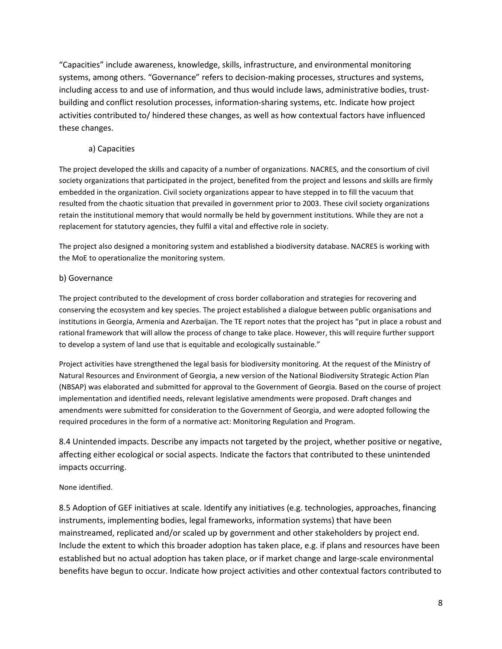"Capacities" include awareness, knowledge, skills, infrastructure, and environmental monitoring systems, among others. "Governance" refers to decision-making processes, structures and systems, including access to and use of information, and thus would include laws, administrative bodies, trustbuilding and conflict resolution processes, information-sharing systems, etc. Indicate how project activities contributed to/ hindered these changes, as well as how contextual factors have influenced these changes.

#### a) Capacities

The project developed the skills and capacity of a number of organizations. NACRES, and the consortium of civil society organizations that participated in the project, benefited from the project and lessons and skills are firmly embedded in the organization. Civil society organizations appear to have stepped in to fill the vacuum that resulted from the chaotic situation that prevailed in government prior to 2003. These civil society organizations retain the institutional memory that would normally be held by government institutions. While they are not a replacement for statutory agencies, they fulfil a vital and effective role in society.

The project also designed a monitoring system and established a biodiversity database. NACRES is working with the MoE to operationalize the monitoring system.

#### b) Governance

The project contributed to the development of cross border collaboration and strategies for recovering and conserving the ecosystem and key species. The project established a dialogue between public organisations and institutions in Georgia, Armenia and Azerbaijan. The TE report notes that the project has "put in place a robust and rational framework that will allow the process of change to take place. However, this will require further support to develop a system of land use that is equitable and ecologically sustainable."

Project activities have strengthened the legal basis for biodiversity monitoring. At the request of the Ministry of Natural Resources and Environment of Georgia, a new version of the National Biodiversity Strategic Action Plan (NBSAP) was elaborated and submitted for approval to the Government of Georgia. Based on the course of project implementation and identified needs, relevant legislative amendments were proposed. Draft changes and amendments were submitted for consideration to the Government of Georgia, and were adopted following the required procedures in the form of a normative act: Monitoring Regulation and Program.

8.4 Unintended impacts. Describe any impacts not targeted by the project, whether positive or negative, affecting either ecological or social aspects. Indicate the factors that contributed to these unintended impacts occurring.

#### None identified.

8.5 Adoption of GEF initiatives at scale. Identify any initiatives (e.g. technologies, approaches, financing instruments, implementing bodies, legal frameworks, information systems) that have been mainstreamed, replicated and/or scaled up by government and other stakeholders by project end. Include the extent to which this broader adoption has taken place, e.g. if plans and resources have been established but no actual adoption has taken place, or if market change and large-scale environmental benefits have begun to occur. Indicate how project activities and other contextual factors contributed to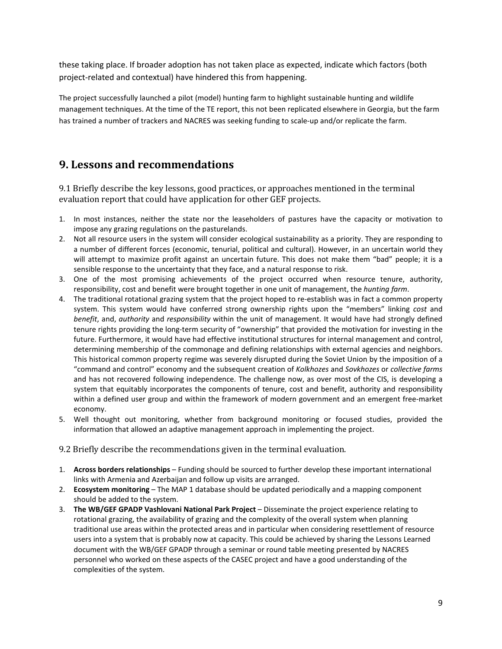these taking place. If broader adoption has not taken place as expected, indicate which factors (both project-related and contextual) have hindered this from happening.

The project successfully launched a pilot (model) hunting farm to highlight sustainable hunting and wildlife management techniques. At the time of the TE report, this not been replicated elsewhere in Georgia, but the farm has trained a number of trackers and NACRES was seeking funding to scale-up and/or replicate the farm.

#### **9. Lessons and recommendations**

9.1 Briefly describe the key lessons, good practices, or approaches mentioned in the terminal evaluation report that could have application for other GEF projects.

- 1. In most instances, neither the state nor the leaseholders of pastures have the capacity or motivation to impose any grazing regulations on the pasturelands.
- 2. Not all resource users in the system will consider ecological sustainability as a priority. They are responding to a number of different forces (economic, tenurial, political and cultural). However, in an uncertain world they will attempt to maximize profit against an uncertain future. This does not make them "bad" people; it is a sensible response to the uncertainty that they face, and a natural response to risk.
- 3. One of the most promising achievements of the project occurred when resource tenure, authority, responsibility, cost and benefit were brought together in one unit of management, the *hunting farm*.
- 4. The traditional rotational grazing system that the project hoped to re-establish was in fact a common property system. This system would have conferred strong ownership rights upon the "members" linking *cost* and *benefit*, and, *authority* and *responsibility* within the unit of management. It would have had strongly defined tenure rights providing the long-term security of "ownership" that provided the motivation for investing in the future. Furthermore, it would have had effective institutional structures for internal management and control, determining membership of the commonage and defining relationships with external agencies and neighbors. This historical common property regime was severely disrupted during the Soviet Union by the imposition of a "command and control" economy and the subsequent creation of *Kolkhozes* and *Sovkhozes* or *collective farms* and has not recovered following independence. The challenge now, as over most of the CIS, is developing a system that equitably incorporates the components of tenure, cost and benefit, authority and responsibility within a defined user group and within the framework of modern government and an emergent free-market economy.
- 5. Well thought out monitoring, whether from background monitoring or focused studies, provided the information that allowed an adaptive management approach in implementing the project.

9.2 Briefly describe the recommendations given in the terminal evaluation.

- 1. **Across borders relationships** Funding should be sourced to further develop these important international links with Armenia and Azerbaijan and follow up visits are arranged.
- 2. **Ecosystem monitoring** The MAP 1 database should be updated periodically and a mapping component should be added to the system.
- 3. **The WB/GEF GPADP Vashlovani National Park Project** Disseminate the project experience relating to rotational grazing, the availability of grazing and the complexity of the overall system when planning traditional use areas within the protected areas and in particular when considering resettlement of resource users into a system that is probably now at capacity. This could be achieved by sharing the Lessons Learned document with the WB/GEF GPADP through a seminar or round table meeting presented by NACRES personnel who worked on these aspects of the CASEC project and have a good understanding of the complexities of the system.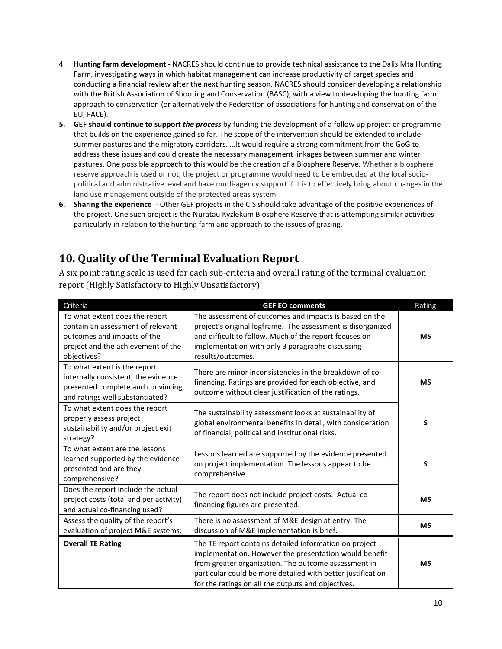- 4. **Hunting farm development** NACRES should continue to provide technical assistance to the Dalis Mta Hunting Farm, investigating ways in which habitat management can increase productivity of target species and conducting a financial review after the next hunting season. NACRES should consider developing a relationship with the British Association of Shooting and Conservation (BASC), with a view to developing the hunting farm approach to conservation (or alternatively the Federation of associations for hunting and conservation of the EU, FACE).
- **5. GEF should continue to support** *the process* by funding the development of a follow up project or programme that builds on the experience gained so far. The scope of the intervention should be extended to include summer pastures and the migratory corridors. …It would require a strong commitment from the GoG to address these issues and could create the necessary management linkages between summer and winter pastures. One possible approach to this would be the creation of a Biosphere Reserve. Whether a biosphere reserve approach is used or not, the project or programme would need to be embedded at the local sociopolitical and administrative level and have mutli-agency support if it is to effectively bring about changes in the land use management outside of the protected areas system.
- **6. Sharing the experience** Other GEF projects in the CIS should take advantage of the positive experiences of the project. One such project is the Nuratau Kyzlekum Biosphere Reserve that is attempting similar activities particularly in relation to the hunting farm and approach to the issues of grazing.

# **10. Quality of the Terminal Evaluation Report**

A six point rating scale is used for each sub-criteria and overall rating of the terminal evaluation report (Highly Satisfactory to Highly Unsatisfactory)

| Criteria                                                                                                                                                | <b>GEF EO comments</b>                                                                                                                                                                                                                                                                        | Rating    |
|---------------------------------------------------------------------------------------------------------------------------------------------------------|-----------------------------------------------------------------------------------------------------------------------------------------------------------------------------------------------------------------------------------------------------------------------------------------------|-----------|
| To what extent does the report<br>contain an assessment of relevant<br>outcomes and impacts of the<br>project and the achievement of the<br>objectives? | The assessment of outcomes and impacts is based on the<br>project's original logframe. The assessment is disorganized<br>and difficult to follow. Much of the report focuses on<br>implementation with only 3 paragraphs discussing<br>results/outcomes.                                      | <b>MS</b> |
| To what extent is the report<br>internally consistent, the evidence<br>presented complete and convincing,<br>and ratings well substantiated?            | There are minor inconsistencies in the breakdown of co-<br>financing. Ratings are provided for each objective, and<br>outcome without clear justification of the ratings.                                                                                                                     | <b>MS</b> |
| To what extent does the report<br>properly assess project<br>sustainability and/or project exit<br>strategy?                                            | The sustainability assessment looks at sustainability of<br>global environmental benefits in detail, with consideration<br>of financial, political and institutional risks.                                                                                                                   | S         |
| To what extent are the lessons<br>learned supported by the evidence<br>presented and are they<br>comprehensive?                                         | Lessons learned are supported by the evidence presented<br>on project implementation. The lessons appear to be<br>comprehensive.                                                                                                                                                              | S         |
| Does the report include the actual<br>project costs (total and per activity)<br>and actual co-financing used?                                           | The report does not include project costs. Actual co-<br>financing figures are presented.                                                                                                                                                                                                     | <b>MS</b> |
| Assess the quality of the report's<br>evaluation of project M&E systems:                                                                                | There is no assessment of M&E design at entry. The<br>discussion of M&E implementation is brief.                                                                                                                                                                                              | <b>MS</b> |
| <b>Overall TE Rating</b>                                                                                                                                | The TE report contains detailed information on project<br>implementation. However the presentation would benefit<br>from greater organization. The outcome assessment in<br>particular could be more detailed with better justification<br>for the ratings on all the outputs and objectives. | <b>MS</b> |